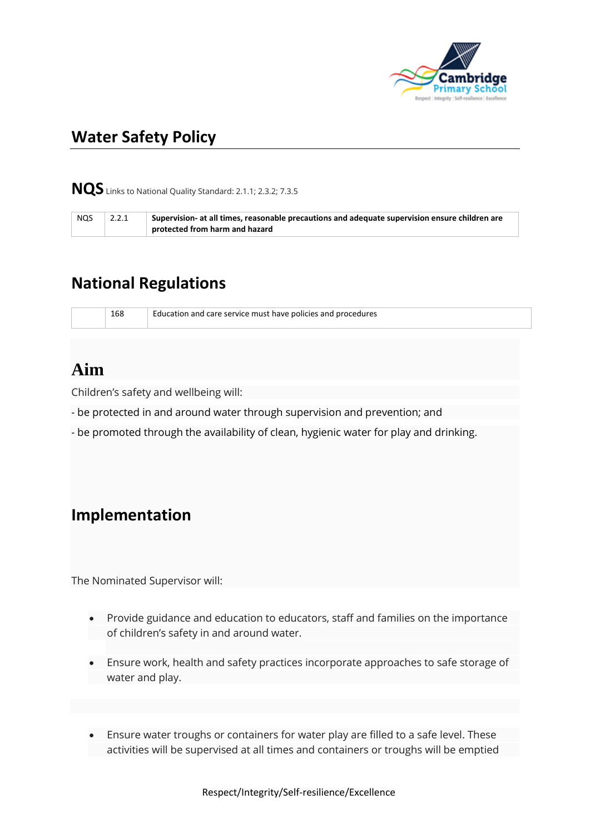

# **Water Safety Policy**

**NQS** Links to National Quality Standard: 2.1.1; 2.3.2; 7.3.5

| <b>NQS</b> | 2.2.1 | Supervision- at all times, reasonable precautions and adequate supervision ensure children are |
|------------|-------|------------------------------------------------------------------------------------------------|
|            |       | protected from harm and hazard                                                                 |

### **National Regulations**

168 Education and care service must have policies and procedures

## **Aim**

Children's safety and wellbeing will:

- be protected in and around water through supervision and prevention; and
- be promoted through the availability of clean, hygienic water for play and drinking.

### **Implementation**

The Nominated Supervisor will:

- Provide guidance and education to educators, staff and families on the importance of children's safety in and around water.
- Ensure work, health and safety practices incorporate approaches to safe storage of water and play.
- Ensure water troughs or containers for water play are filled to a safe level. These activities will be supervised at all times and containers or troughs will be emptied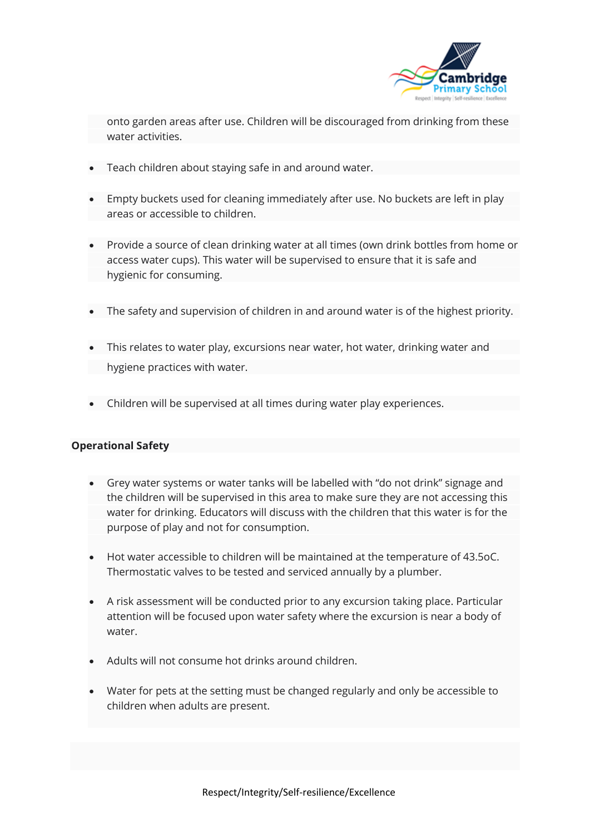

onto garden areas after use. Children will be discouraged from drinking from these water activities.

- Teach children about staying safe in and around water.
- Empty buckets used for cleaning immediately after use. No buckets are left in play areas or accessible to children.
- Provide a source of clean drinking water at all times (own drink bottles from home or access water cups). This water will be supervised to ensure that it is safe and hygienic for consuming.
- The safety and supervision of children in and around water is of the highest priority.
- This relates to water play, excursions near water, hot water, drinking water and hygiene practices with water.
- Children will be supervised at all times during water play experiences.

#### **Operational Safety**

- Grey water systems or water tanks will be labelled with "do not drink" signage and the children will be supervised in this area to make sure they are not accessing this water for drinking. Educators will discuss with the children that this water is for the purpose of play and not for consumption.
- Hot water accessible to children will be maintained at the temperature of 43.5oC. Thermostatic valves to be tested and serviced annually by a plumber.
- A risk assessment will be conducted prior to any excursion taking place. Particular attention will be focused upon water safety where the excursion is near a body of water.
- Adults will not consume hot drinks around children.
- Water for pets at the setting must be changed regularly and only be accessible to children when adults are present.